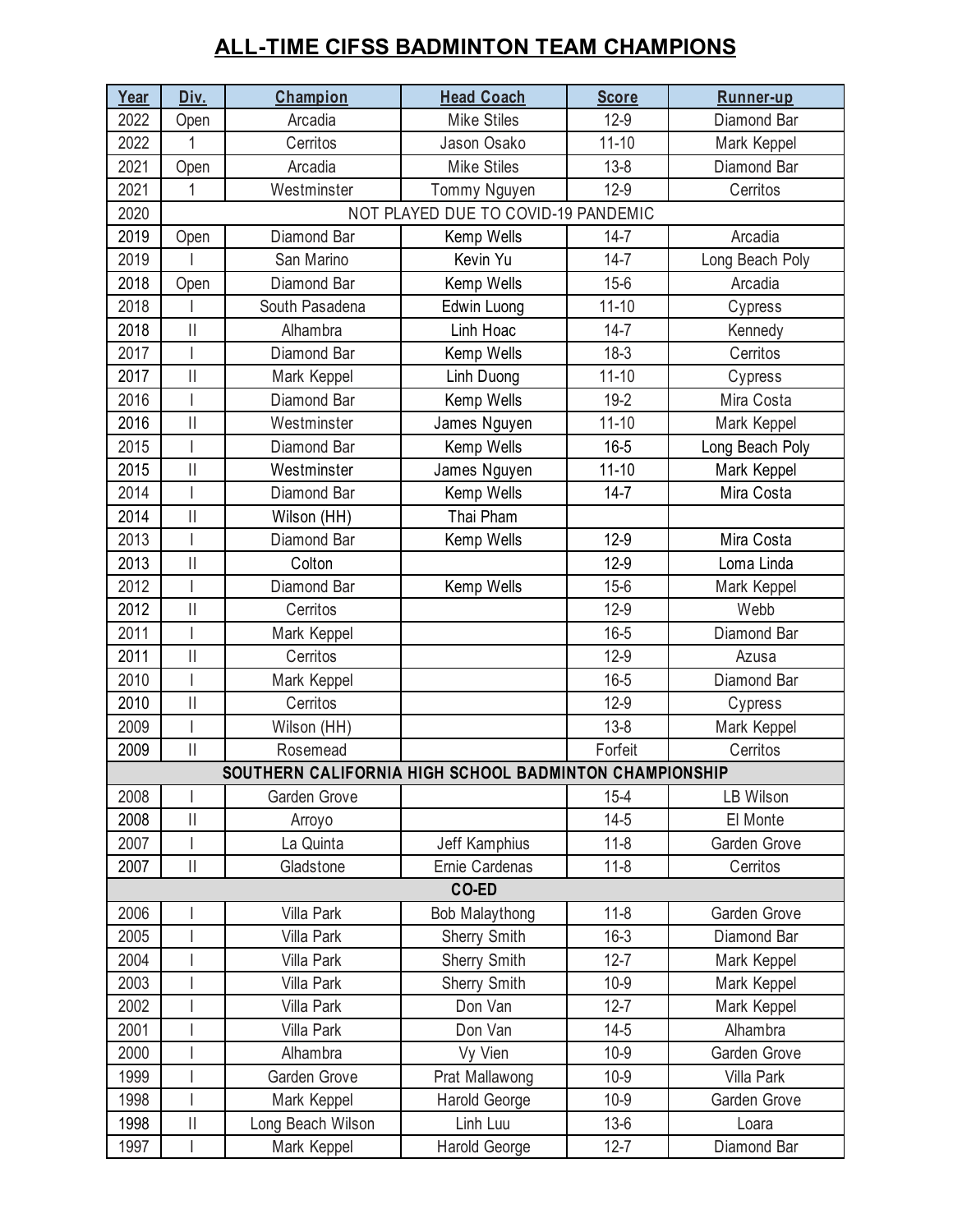## **ALL-TIME CIFSS BADMINTON TEAM CHAMPIONS**

| Year | Div.                                | Champion                                               | <b>Head Coach</b>   | <b>Score</b> | Runner-up       |  |  |  |  |
|------|-------------------------------------|--------------------------------------------------------|---------------------|--------------|-----------------|--|--|--|--|
| 2022 | Open                                | Arcadia                                                | <b>Mike Stiles</b>  | $12-9$       | Diamond Bar     |  |  |  |  |
| 2022 | 1                                   | Cerritos                                               | Jason Osako         | $11 - 10$    | Mark Keppel     |  |  |  |  |
| 2021 | Open                                | Arcadia                                                | <b>Mike Stiles</b>  | $13 - 8$     | Diamond Bar     |  |  |  |  |
| 2021 | 1                                   | Westminster                                            | Tommy Nguyen        | $12-9$       | Cerritos        |  |  |  |  |
| 2020 | NOT PLAYED DUE TO COVID-19 PANDEMIC |                                                        |                     |              |                 |  |  |  |  |
| 2019 | Open                                | Diamond Bar                                            | Kemp Wells          | $14 - 7$     | Arcadia         |  |  |  |  |
| 2019 |                                     | San Marino                                             | Kevin Yu            | $14 - 7$     | Long Beach Poly |  |  |  |  |
| 2018 | Open                                | Diamond Bar                                            | Kemp Wells          | $15 - 6$     | Arcadia         |  |  |  |  |
| 2018 |                                     | South Pasadena                                         | Edwin Luong         | $11 - 10$    | Cypress         |  |  |  |  |
| 2018 | $\mathop{\rm II}\nolimits$          | Alhambra                                               | Linh Hoac           | $14 - 7$     | Kennedy         |  |  |  |  |
| 2017 | I                                   | Diamond Bar                                            | Kemp Wells          | $18-3$       | Cerritos        |  |  |  |  |
| 2017 | $\vert\vert$                        | Mark Keppel                                            | Linh Duong          | $11 - 10$    | Cypress         |  |  |  |  |
| 2016 | $\overline{\phantom{a}}$            | Diamond Bar                                            | Kemp Wells          | $19 - 2$     | Mira Costa      |  |  |  |  |
| 2016 | $\vert\vert$                        | Westminster                                            | James Nguyen        | $11 - 10$    | Mark Keppel     |  |  |  |  |
| 2015 |                                     | Diamond Bar                                            | Kemp Wells          | $16 - 5$     | Long Beach Poly |  |  |  |  |
| 2015 | $\mathop{\rm II}\nolimits$          | Westminster                                            | James Nguyen        | $11 - 10$    | Mark Keppel     |  |  |  |  |
| 2014 |                                     | Diamond Bar                                            | Kemp Wells          | $14 - 7$     | Mira Costa      |  |  |  |  |
| 2014 | $\vert\vert$                        | Wilson (HH)                                            | Thai Pham           |              |                 |  |  |  |  |
| 2013 | I                                   | Diamond Bar                                            | Kemp Wells          | $12-9$       | Mira Costa      |  |  |  |  |
| 2013 | $\vert\vert$                        | Colton                                                 |                     | $12-9$       | Loma Linda      |  |  |  |  |
| 2012 |                                     | Diamond Bar                                            | Kemp Wells          | $15 - 6$     | Mark Keppel     |  |  |  |  |
| 2012 | $\mathop{\rm II}\nolimits$          | Cerritos                                               |                     | $12-9$       | Webb            |  |  |  |  |
| 2011 |                                     | Mark Keppel                                            |                     | $16 - 5$     | Diamond Bar     |  |  |  |  |
| 2011 | $\mathop{\rm II}\nolimits$          | Cerritos                                               |                     | $12-9$       | Azusa           |  |  |  |  |
| 2010 | $\overline{\phantom{a}}$            | Mark Keppel                                            |                     | $16 - 5$     | Diamond Bar     |  |  |  |  |
| 2010 | $\vert\vert$                        | Cerritos                                               |                     | $12-9$       | Cypress         |  |  |  |  |
| 2009 | I                                   | Wilson (HH)                                            |                     | $13 - 8$     | Mark Keppel     |  |  |  |  |
| 2009 | $\vert\vert$                        | Rosemead                                               |                     | Forfeit      | Cerritos        |  |  |  |  |
|      |                                     | SOUTHERN CALIFORNIA HIGH SCHOOL BADMINTON CHAMPIONSHIP |                     |              |                 |  |  |  |  |
| 2008 | I                                   | Garden Grove                                           |                     | $15 - 4$     | LB Wilson       |  |  |  |  |
| 2008 | $\vert\vert$                        | Arroyo                                                 |                     | $14 - 5$     | El Monte        |  |  |  |  |
| 2007 | $\overline{1}$                      | La Quinta                                              | Jeff Kamphius       | $11 - 8$     | Garden Grove    |  |  |  |  |
| 2007 | $\mathop{\rm II}\nolimits$          | Gladstone                                              | Ernie Cardenas      | $11 - 8$     | Cerritos        |  |  |  |  |
|      |                                     |                                                        | CO-ED               |              |                 |  |  |  |  |
| 2006 |                                     | Villa Park                                             | Bob Malaythong      | $11 - 8$     | Garden Grove    |  |  |  |  |
| 2005 | $\overline{\phantom{a}}$            | Villa Park                                             | Sherry Smith        | $16-3$       | Diamond Bar     |  |  |  |  |
| 2004 |                                     | Villa Park                                             | <b>Sherry Smith</b> | $12 - 7$     | Mark Keppel     |  |  |  |  |
| 2003 |                                     | Villa Park                                             | Sherry Smith        | $10-9$       | Mark Keppel     |  |  |  |  |
| 2002 |                                     | Villa Park                                             | Don Van             | $12 - 7$     | Mark Keppel     |  |  |  |  |
| 2001 |                                     | Villa Park                                             | Don Van             | $14 - 5$     | Alhambra        |  |  |  |  |
| 2000 |                                     | Alhambra                                               | Vy Vien             | $10-9$       | Garden Grove    |  |  |  |  |
| 1999 |                                     | Garden Grove                                           | Prat Mallawong      | $10-9$       | Villa Park      |  |  |  |  |
| 1998 |                                     | Mark Keppel                                            | Harold George       | $10-9$       | Garden Grove    |  |  |  |  |
| 1998 | $\vert\vert$                        | Long Beach Wilson                                      | Linh Luu            | $13-6$       | Loara           |  |  |  |  |
| 1997 |                                     | Mark Keppel                                            | Harold George       | $12 - 7$     | Diamond Bar     |  |  |  |  |